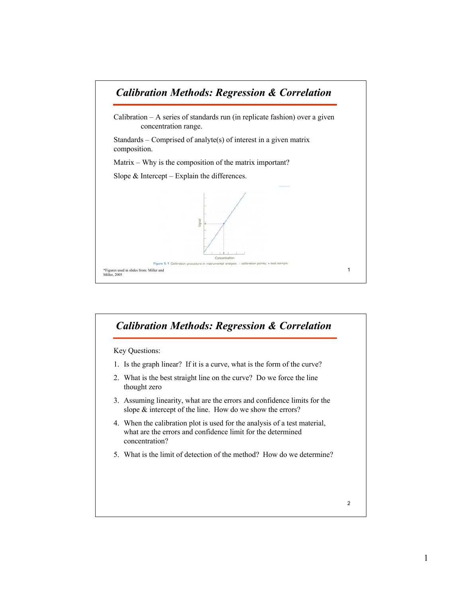

## 2 Key Questions: 1. Is the graph linear? If it is a curve, what is the form of the curve? 2. What is the best straight line on the curve? Do we force the line thought zero 3. Assuming linearity, what are the errors and confidence limits for the slope & intercept of the line. How do we show the errors? 4. When the calibration plot is used for the analysis of a test material, what are the errors and confidence limit for the determined concentration? 5. What is the limit of detection of the method? How do we determine? *Calibration Methods: Regression & Correlation*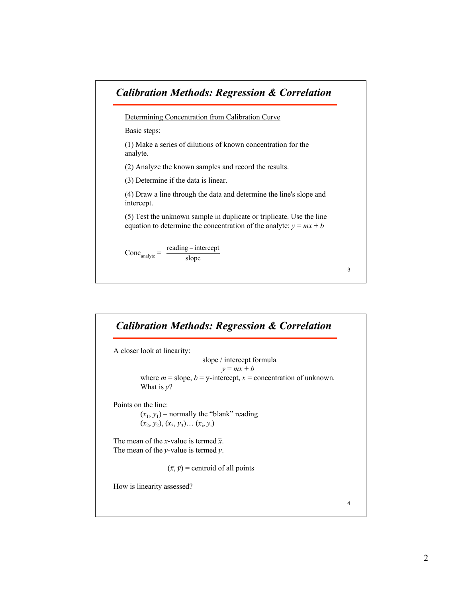

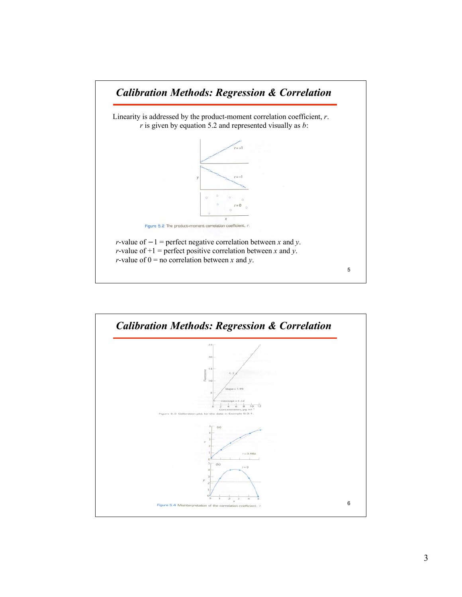

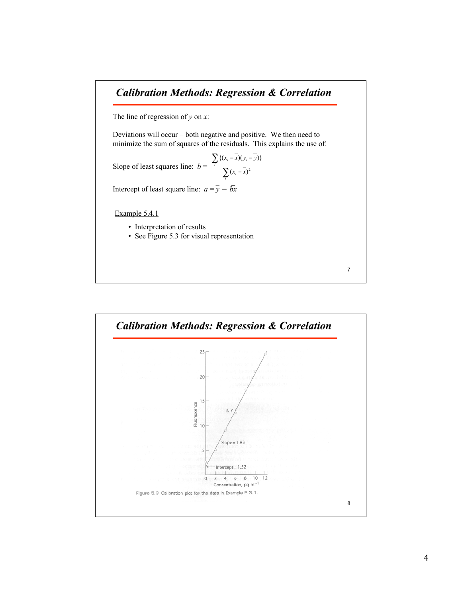## *Calibration Methods: Regression & Correlation*

The line of regression of *y* on *x*:

Deviations will occur – both negative and positive. We then need to minimize the sum of squares of the residuals. This explains the use of:

Slope of least squares line:  $b = \frac{7}{2}$ Σ -  $(x - x)(y_i - y_i)$ *i i*  $\sum_i$ <sup>*i*</sup> $(x_i - x)(y_i)$  $x_i - x$  $(x_i - x)(y_i - y)$  $(x_i - \overline{x})^2$  $\{(x_i - x)(y_i - y)\}\$ 

Intercept of least square line:  $a = \overline{y} - b\overline{x}$ 

Example 5.4.1

- Interpretation of results
- See Figure 5.3 for visual representation

7

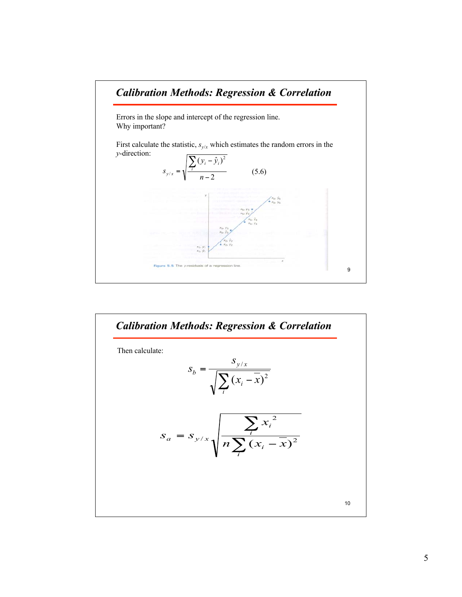

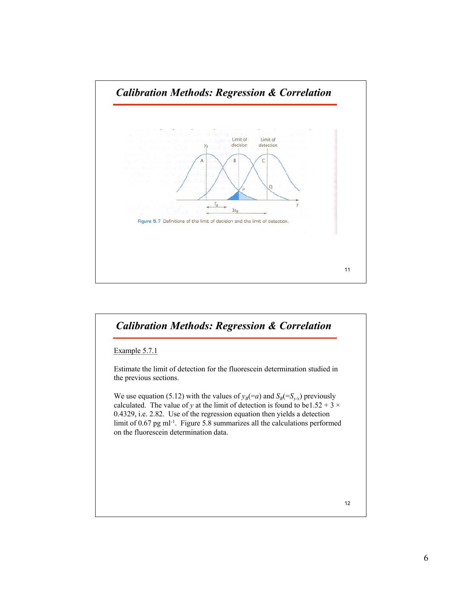

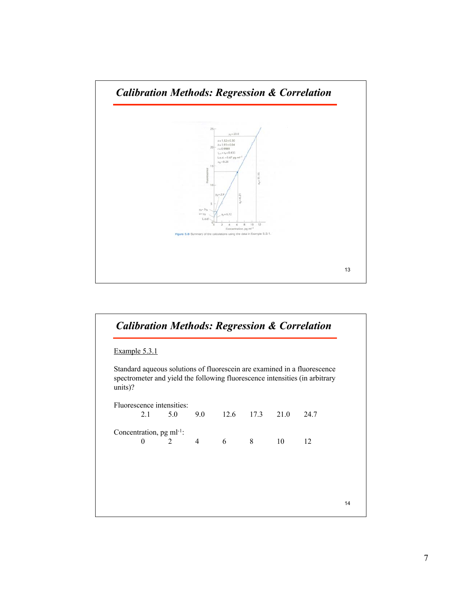

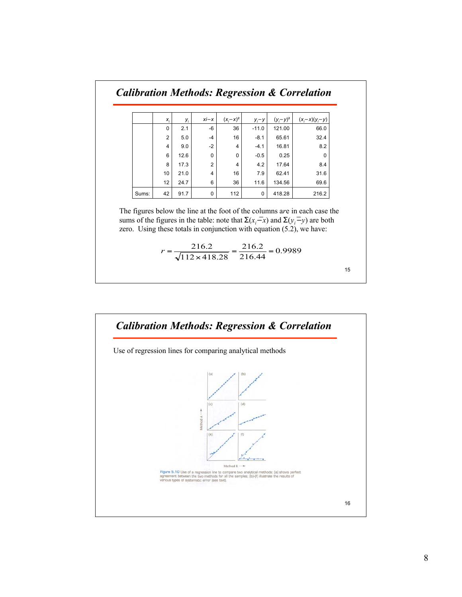| <b>Calibration Methods: Regression &amp; Correlation</b> |                |      |          |               |           |               |                  |
|----------------------------------------------------------|----------------|------|----------|---------------|-----------|---------------|------------------|
|                                                          |                |      |          |               |           |               |                  |
|                                                          | $X_i$          | y    | $xi - x$ | $(x_i - x)^2$ | $y_i - y$ | $(y_i - y)^2$ | $(x_i-x)(y_i-y)$ |
|                                                          | $\Omega$       | 2.1  | -6       | 36            | $-11.0$   | 121.00        | 66.0             |
|                                                          | $\overline{2}$ | 5.0  | $-4$     | 16            | $-8.1$    | 65.61         | 32.4             |
|                                                          | 4              | 9.0  | $-2$     | 4             | $-4.1$    | 16.81         | 8.2              |
|                                                          | 6              | 12.6 | 0        | 0             | $-0.5$    | 0.25          | 0                |
|                                                          | 8              | 17.3 | 2        | 4             | 4.2       | 17.64         | 8.4              |
|                                                          | 10             | 21.0 | 4        | 16            | 7.9       | 62.41         | 31.6             |
|                                                          | 12             | 24.7 | 6        | 36            | 11.6      | 134.56        | 69.6             |
| Sums:                                                    | 42             | 91.7 | 0        | 112           | 0         | 418.28        | 216.2            |

The figures below the line at the foot of the columns a*r*e in each case the sums of the figures in the table: note that  $\Sigma(x_i-x)$  and  $\Sigma(y_i-y)$  are both zero. Using these totals in conjunction with equation (5.2), we have:

$$
r = \frac{216.2}{\sqrt{112 \times 418.28}} = \frac{216.2}{216.44} = 0.9989
$$

15